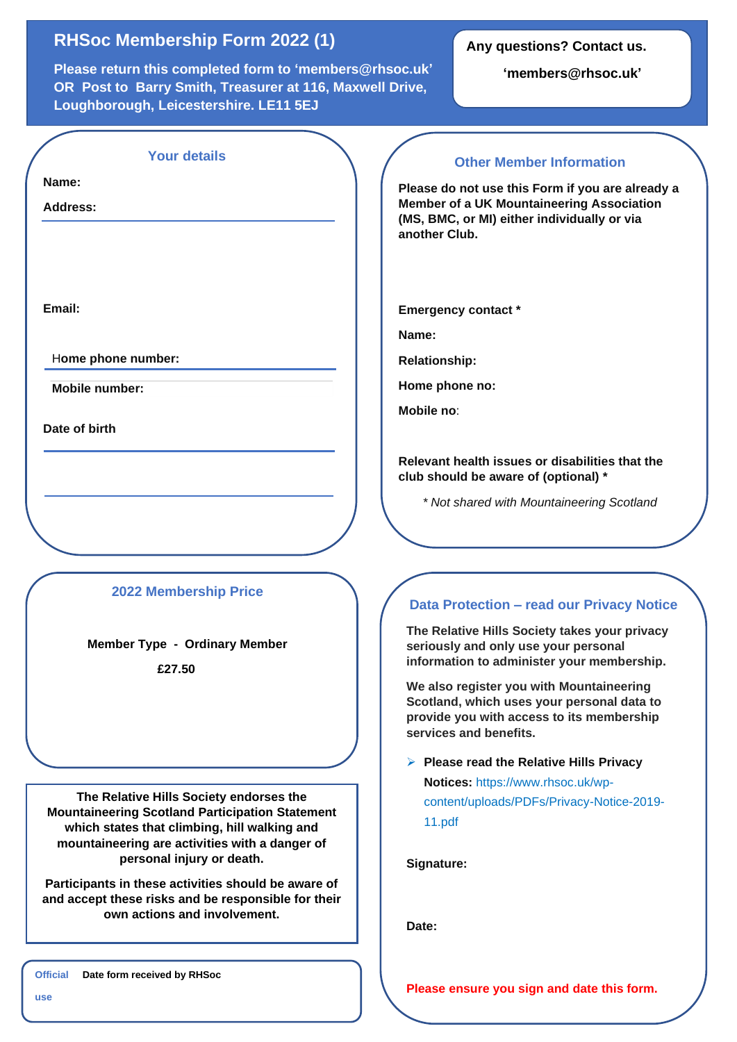## **RHSoc Membership Form 2022 (1)**

**Please return this completed form to 'members@rhsoc.uk' OR Post to Barry Smith, Treasurer at 116, Maxwell Drive, Loughborough, Leicestershire. LE11 5EJ**

## **Any questions? Contact us.**

**'members@rhsoc.uk'**

| <b>Your details</b>                                                                                                                                                                                                                                                                                                                            | <b>Other Member Information</b>                                                                                                                                                                                                                                                                                                                                                                                                                                                                  |
|------------------------------------------------------------------------------------------------------------------------------------------------------------------------------------------------------------------------------------------------------------------------------------------------------------------------------------------------|--------------------------------------------------------------------------------------------------------------------------------------------------------------------------------------------------------------------------------------------------------------------------------------------------------------------------------------------------------------------------------------------------------------------------------------------------------------------------------------------------|
| Name:<br><b>Address:</b>                                                                                                                                                                                                                                                                                                                       | Please do not use this Form if you are already a<br><b>Member of a UK Mountaineering Association</b><br>(MS, BMC, or MI) either individually or via<br>another Club.                                                                                                                                                                                                                                                                                                                             |
| Email:                                                                                                                                                                                                                                                                                                                                         | <b>Emergency contact *</b><br>Name:                                                                                                                                                                                                                                                                                                                                                                                                                                                              |
| Home phone number:                                                                                                                                                                                                                                                                                                                             |                                                                                                                                                                                                                                                                                                                                                                                                                                                                                                  |
|                                                                                                                                                                                                                                                                                                                                                | <b>Relationship:</b>                                                                                                                                                                                                                                                                                                                                                                                                                                                                             |
| <b>Mobile number:</b>                                                                                                                                                                                                                                                                                                                          | Home phone no:                                                                                                                                                                                                                                                                                                                                                                                                                                                                                   |
| Date of birth                                                                                                                                                                                                                                                                                                                                  | Mobile no:                                                                                                                                                                                                                                                                                                                                                                                                                                                                                       |
| <b>2022 Membership Price</b><br><b>Member Type - Ordinary Member</b><br>£27.50                                                                                                                                                                                                                                                                 | Relevant health issues or disabilities that the<br>club should be aware of (optional) *<br>* Not shared with Mountaineering Scotland<br><b>Data Protection - read our Privacy Notice</b><br>The Relative Hills Society takes your privacy<br>seriously and only use your personal<br>information to administer your membership.<br>We also register you with Mountaineering<br>Scotland, which uses your personal data to<br>provide you with access to its membership<br>services and benefits. |
| The Relative Hills Society endorses the<br><b>Mountaineering Scotland Participation Statement</b><br>which states that climbing, hill walking and<br>mountaineering are activities with a danger of<br>personal injury or death.<br>Participants in these activities should be aware of<br>and accept these risks and be responsible for their | $\triangleright$ Please read the Relative Hills Privacy<br>Notices: https://www.rhsoc.uk/wp-<br>content/uploads/PDFs/Privacy-Notice-2019-<br>11.pdf<br>Signature:                                                                                                                                                                                                                                                                                                                                |

**Date:**